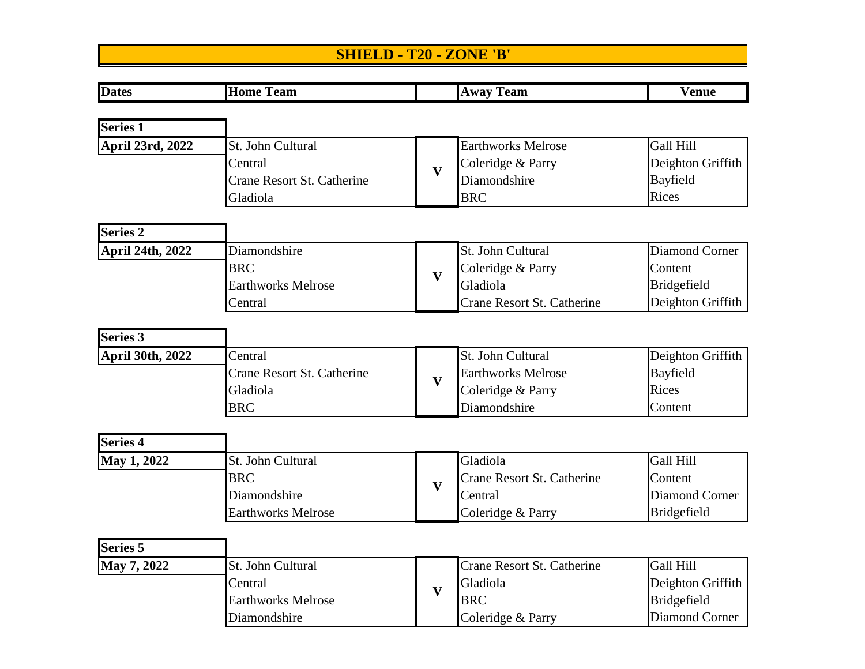## **SHIELD - T20 - ZONE 'B'**

| <b>Dates</b>            | <b>Home Team</b>                  |                         | <b>Away Team</b>                  | <b>Venue</b>          |
|-------------------------|-----------------------------------|-------------------------|-----------------------------------|-----------------------|
|                         |                                   |                         |                                   |                       |
| <b>Series 1</b>         |                                   |                         |                                   |                       |
| April 23rd, 2022        | St. John Cultural                 |                         | <b>Earthworks Melrose</b>         | Gall Hill             |
|                         | Central                           | $\mathbf{V}$            | Coleridge & Parry                 | Deighton Griffith     |
|                         | <b>Crane Resort St. Catherine</b> |                         | Diamondshire                      | Bayfield              |
|                         | Gladiola                          |                         | <b>BRC</b>                        | Rices                 |
| Series <sub>2</sub>     |                                   |                         |                                   |                       |
| April 24th, 2022        | Diamondshire                      |                         | St. John Cultural                 | <b>Diamond Corner</b> |
|                         | <b>BRC</b>                        |                         | Coleridge & Parry                 | Content               |
|                         | <b>Earthworks Melrose</b>         | $\mathbf{V}$            | Gladiola                          | <b>Bridgefield</b>    |
|                         | Central                           |                         | Crane Resort St. Catherine        | Deighton Griffith     |
| <b>Series 3</b>         |                                   |                         |                                   |                       |
| <b>April 30th, 2022</b> | Central                           |                         | St. John Cultural                 | Deighton Griffith     |
|                         | Crane Resort St. Catherine        |                         | <b>Earthworks Melrose</b>         | <b>Bayfield</b>       |
|                         | Gladiola                          | $\mathbf{V}$            | Coleridge & Parry                 | Rices                 |
|                         | <b>BRC</b>                        |                         | Diamondshire                      | Content               |
| <b>Series 4</b>         |                                   |                         |                                   |                       |
| May 1, 2022             | St. John Cultural                 |                         | Gladiola                          | Gall Hill             |
|                         | <b>BRC</b>                        |                         | Crane Resort St. Catherine        | Content               |
|                         | Diamondshire                      | $\mathbf{V}$            | Central                           | Diamond Corner        |
|                         | <b>Earthworks Melrose</b>         |                         | Coleridge & Parry                 | Bridgefield           |
|                         |                                   |                         |                                   |                       |
| <b>Series 5</b>         |                                   |                         |                                   |                       |
| May 7, 2022             | St. John Cultural                 |                         | <b>Crane Resort St. Catherine</b> | Gall Hill             |
|                         | Central                           | $\overline{\mathbf{V}}$ | Gladiola                          | Deighton Griffith     |
|                         | <b>Earthworks Melrose</b>         |                         | <b>BRC</b>                        | Bridgefield           |

Diamondshire Coleridge & Parry Diamond Corner